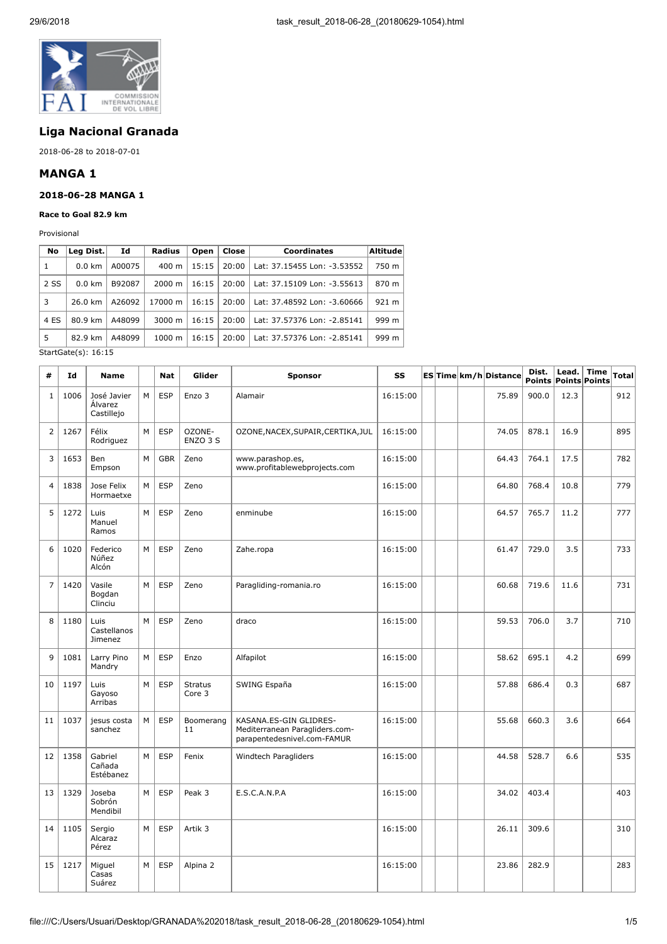

# **Liga Nacional Granada**

2018-06-28 to 2018-07-01

# **MANGA 1**

#### **2018-06-28 MANGA 1**

**Race to Goal 82.9 km**

Provisional

| No   | Leg Dist.        | Id     | <b>Radius</b>      | Open  | Close | <b>Coordinates</b>          | <b>Altitude</b> |
|------|------------------|--------|--------------------|-------|-------|-----------------------------|-----------------|
| 1    | $0.0 \text{ km}$ | A00075 | $400 \; \text{m}$  | 15:15 | 20:00 | Lat: 37.15455 Lon: -3.53552 | 750 m           |
| 2 SS | $0.0 \text{ km}$ | B92087 | $2000 \; \text{m}$ | 16:15 | 20:00 | Lat: 37.15109 Lon: -3.55613 | 870 m           |
| 3    | 26.0 km          | A26092 | 17000 m            | 16:15 | 20:00 | Lat: 37.48592 Lon: -3.60666 | 921 m           |
| 4 ES | 80.9 km          | A48099 | $3000 \; \text{m}$ | 16:15 | 20:00 | Lat: 37.57376 Lon: -2.85141 | 999 m           |
| 5    | 82.9 km          | A48099 | 1000 m             | 16:15 | 20:00 | Lat: 37.57376 Lon: -2.85141 | 999 m           |

StartGate(s): 16:15

| #              | Id   | Name                                 |   | <b>Nat</b> | Glider                   | <b>Sponsor</b>                                                                          | SS       |  | ES Time km/h Distance | Dist. | Lead.<br><b>Points Points Points</b> | <b>Time</b> | <b>Total</b> |
|----------------|------|--------------------------------------|---|------------|--------------------------|-----------------------------------------------------------------------------------------|----------|--|-----------------------|-------|--------------------------------------|-------------|--------------|
| 1              | 1006 | José Javier<br>Álvarez<br>Castillejo | M | <b>ESP</b> | Enzo 3                   | Alamair                                                                                 | 16:15:00 |  | 75.89                 | 900.0 | 12.3                                 |             | 912          |
| $\overline{2}$ | 1267 | Félix<br>Rodriguez                   | M | <b>ESP</b> | OZONE-<br>ENZO 3 S       | OZONE, NACEX, SUPAIR, CERTIKA, JUL                                                      | 16:15:00 |  | 74.05                 | 878.1 | 16.9                                 |             | 895          |
| 3              | 1653 | Ben<br>Empson                        | M | <b>GBR</b> | Zeno                     | www.parashop.es,<br>www.profitablewebprojects.com                                       | 16:15:00 |  | 64.43                 | 764.1 | 17.5                                 |             | 782          |
| $\overline{4}$ | 1838 | Jose Felix<br>Hormaetxe              | M | <b>ESP</b> | Zeno                     |                                                                                         | 16:15:00 |  | 64.80                 | 768.4 | 10.8                                 |             | 779          |
| 5              | 1272 | Luis<br>Manuel<br>Ramos              | M | <b>ESP</b> | Zeno                     | enminube                                                                                | 16:15:00 |  | 64.57                 | 765.7 | 11.2                                 |             | 777          |
| 6              | 1020 | Federico<br>Núñez<br>Alcón           | M | <b>ESP</b> | Zeno                     | Zahe.ropa                                                                               | 16:15:00 |  | 61.47                 | 729.0 | 3.5                                  |             | 733          |
| $\overline{7}$ | 1420 | Vasile<br>Bogdan<br>Clinciu          | M | <b>ESP</b> | Zeno                     | Paragliding-romania.ro                                                                  | 16:15:00 |  | 60.68                 | 719.6 | 11.6                                 |             | 731          |
| 8              | 1180 | Luis<br>Castellanos<br>Jimenez       | M | <b>ESP</b> | Zeno                     | draco                                                                                   | 16:15:00 |  | 59.53                 | 706.0 | 3.7                                  |             | 710          |
| 9              | 1081 | Larry Pino<br>Mandry                 | M | <b>ESP</b> | Enzo                     | Alfapilot                                                                               | 16:15:00 |  | 58.62                 | 695.1 | 4.2                                  |             | 699          |
| 10             | 1197 | Luis<br>Gayoso<br>Arribas            | M | <b>ESP</b> | <b>Stratus</b><br>Core 3 | SWING España                                                                            | 16:15:00 |  | 57.88                 | 686.4 | 0.3                                  |             | 687          |
| 11             | 1037 | jesus costa<br>sanchez               | M | <b>ESP</b> | Boomerang<br>11          | KASANA.ES-GIN GLIDRES-<br>Mediterranean Paragliders.com-<br>parapentedesnivel.com-FAMUR | 16:15:00 |  | 55.68                 | 660.3 | 3.6                                  |             | 664          |
| 12             | 1358 | Gabriel<br>Cañada<br>Estébanez       | M | <b>ESP</b> | Fenix                    | Windtech Paragliders                                                                    | 16:15:00 |  | 44.58                 | 528.7 | 6.6                                  |             | 535          |
| 13             | 1329 | Joseba<br>Sobrón<br>Mendibil         | M | <b>ESP</b> | Peak 3                   | E.S.C.A.N.P.A                                                                           | 16:15:00 |  | 34.02                 | 403.4 |                                      |             | 403          |
| 14             | 1105 | Sergio<br>Alcaraz<br>Pérez           | M | <b>ESP</b> | Artik 3                  |                                                                                         | 16:15:00 |  | 26.11                 | 309.6 |                                      |             | 310          |
| 15             | 1217 | Miguel<br>Casas<br>Suárez            | м | <b>ESP</b> | Alpina 2                 |                                                                                         | 16:15:00 |  | 23.86                 | 282.9 |                                      |             | 283          |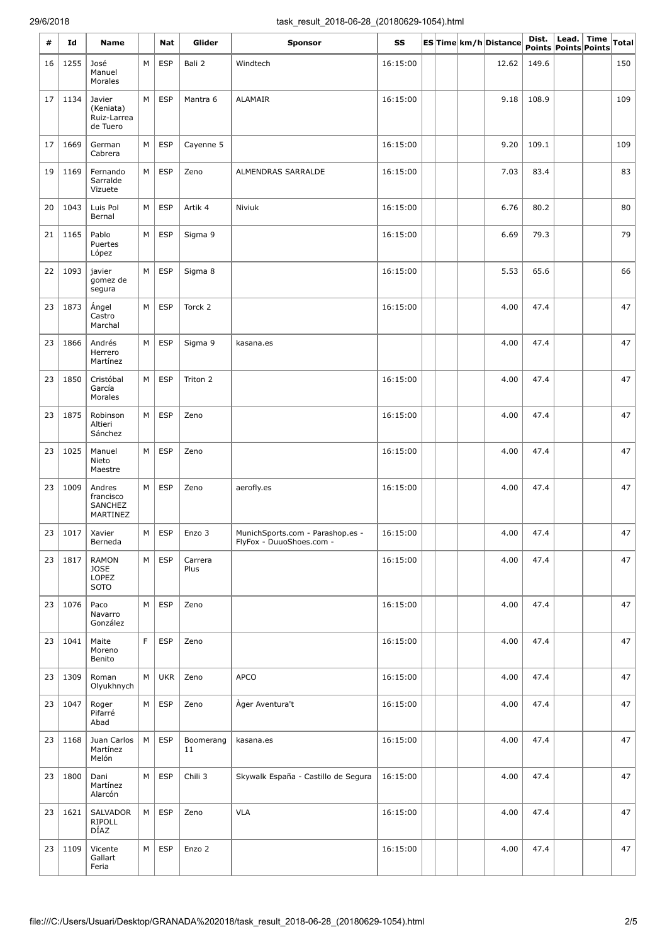| #  | Id        | Name                                           |   | Nat        | Glider          | <b>Sponsor</b>                                               | SS       |  | ES Time km/h Distance | Dist.<br>Points Points Points | Lead. Time | <b>Total</b> |
|----|-----------|------------------------------------------------|---|------------|-----------------|--------------------------------------------------------------|----------|--|-----------------------|-------------------------------|------------|--------------|
| 16 | 1255      | José<br>Manuel<br>Morales                      | М | <b>ESP</b> | Bali 2          | Windtech                                                     | 16:15:00 |  | 12.62                 | 149.6                         |            | 150          |
| 17 | 1134      | Javier<br>(Keniata)<br>Ruiz-Larrea<br>de Tuero | M | <b>ESP</b> | Mantra 6        | <b>ALAMAIR</b>                                               | 16:15:00 |  | 9.18                  | 108.9                         |            | 109          |
| 17 | 1669      | German<br>Cabrera                              | М | <b>ESP</b> | Cayenne 5       |                                                              | 16:15:00 |  | 9.20                  | 109.1                         |            | 109          |
| 19 | 1169      | Fernando<br>Sarralde<br>Vizuete                | М | <b>ESP</b> | Zeno            | ALMENDRAS SARRALDE                                           | 16:15:00 |  | 7.03                  | 83.4                          |            | 83           |
| 20 | 1043      | Luis Pol<br>Bernal                             | M | <b>ESP</b> | Artik 4         | Niviuk                                                       | 16:15:00 |  | 6.76                  | 80.2                          |            | 80           |
| 21 | 1165      | Pablo<br>Puertes<br>López                      | M | <b>ESP</b> | Sigma 9         |                                                              | 16:15:00 |  | 6.69                  | 79.3                          |            | 79           |
| 22 | 1093      | javier<br>gomez de<br>segura                   | М | <b>ESP</b> | Sigma 8         |                                                              | 16:15:00 |  | 5.53                  | 65.6                          |            | 66           |
| 23 | 1873      | Ángel<br>Castro<br>Marchal                     | M | <b>ESP</b> | Torck 2         |                                                              | 16:15:00 |  | 4.00                  | 47.4                          |            | 47           |
| 23 | 1866      | Andrés<br>Herrero<br>Martínez                  | М | <b>ESP</b> | Sigma 9         | kasana.es                                                    |          |  | 4.00                  | 47.4                          |            | 47           |
| 23 | 1850      | Cristóbal<br>García<br>Morales                 | М | <b>ESP</b> | Triton 2        |                                                              | 16:15:00 |  | 4.00                  | 47.4                          |            | 47           |
| 23 | 1875      | Robinson<br>Altieri<br>Sánchez                 | М | <b>ESP</b> | Zeno            |                                                              | 16:15:00 |  | 4.00                  | 47.4                          |            | 47           |
| 23 | 1025      | Manuel<br>Nieto<br>Maestre                     | M | <b>ESP</b> | Zeno            |                                                              | 16:15:00 |  | 4.00                  | 47.4                          |            | 47           |
| 23 | 1009      | Andres<br>francisco<br>SANCHEZ<br>MARTINEZ     | M | <b>ESP</b> | Zeno            | aerofly.es                                                   | 16:15:00 |  | 4.00                  | 47.4                          |            | 47           |
|    | 23   1017 | Xavier<br>Berneda                              | M |            | $ESP$ $Enc 3$   | MunichSports.com - Parashop.es -<br>FlyFox - DuuoShoes.com - | 16:15:00 |  | 4.00                  | 47.4                          |            | 47           |
| 23 | 1817      | <b>RAMON</b><br><b>JOSE</b><br>LOPEZ<br>SOTO   | M | ESP        | Carrera<br>Plus |                                                              | 16:15:00 |  | 4.00                  | 47.4                          |            | 47           |
| 23 | 1076      | Paco<br>Navarro<br>González                    | M | <b>ESP</b> | Zeno            |                                                              | 16:15:00 |  | 4.00                  | 47.4                          |            | 47           |
| 23 | 1041      | Maite<br>Moreno<br>Benito                      | F | <b>ESP</b> | Zeno            |                                                              | 16:15:00 |  | 4.00                  | 47.4                          |            | 47           |
| 23 | 1309      | Roman<br>Olyukhnych                            | М | <b>UKR</b> | Zeno            | <b>APCO</b>                                                  | 16:15:00 |  | 4.00                  | 47.4                          |            | 47           |
| 23 | 1047      | Roger<br>Pifarré<br>Abad                       | М | <b>ESP</b> | Zeno            | Àger Aventura't                                              | 16:15:00 |  | 4.00                  | 47.4                          |            | 47           |
| 23 | 1168      | Juan Carlos<br>Martínez<br>Melón               | M | <b>ESP</b> | Boomerang<br>11 | kasana.es                                                    | 16:15:00 |  | 4.00                  | 47.4                          |            | 47           |
| 23 | 1800      | Dani<br>Martínez<br>Alarcón                    | М | <b>ESP</b> | Chili 3         | Skywalk España - Castillo de Segura                          | 16:15:00 |  | 4.00                  | 47.4                          |            | 47           |
| 23 | 1621      | SALVADOR<br><b>RIPOLL</b><br>DÍAZ              | М | <b>ESP</b> | Zeno            | <b>VLA</b>                                                   | 16:15:00 |  | 4.00                  | 47.4                          |            | 47           |
| 23 | 1109      | Vicente<br>Gallart<br>Feria                    | М | <b>ESP</b> | Enzo 2          |                                                              | 16:15:00 |  | 4.00                  | 47.4                          |            | 47           |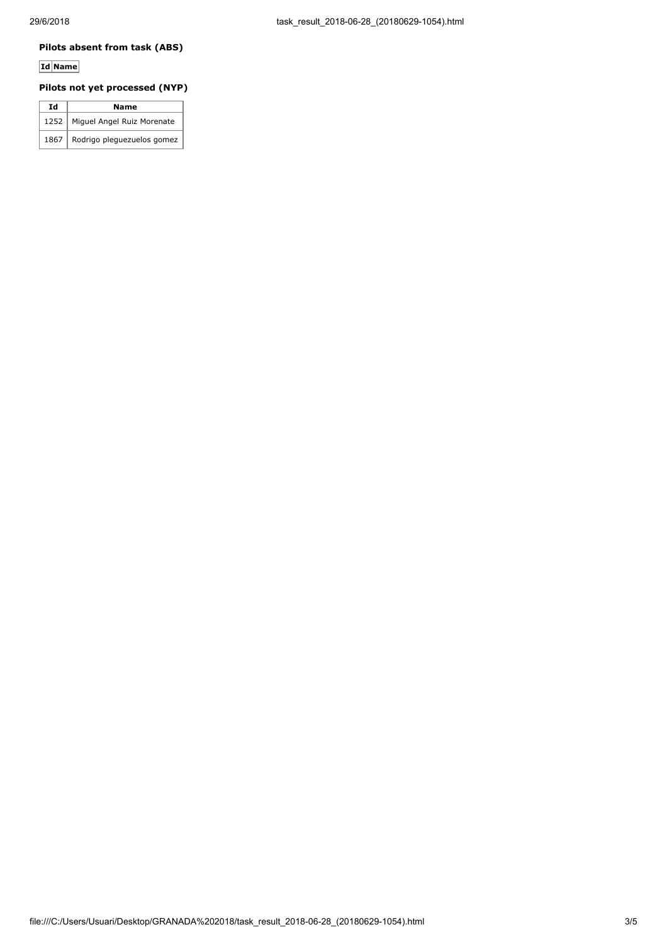### **Pilots absent from task (ABS)**

# **Id Name**

## **Pilots not yet processed (NYP)**

| Ιd   | Name                       |  |  |  |  |  |  |
|------|----------------------------|--|--|--|--|--|--|
| 1252 | Miguel Angel Ruiz Morenate |  |  |  |  |  |  |
| 1867 | Rodrigo pleguezuelos gomez |  |  |  |  |  |  |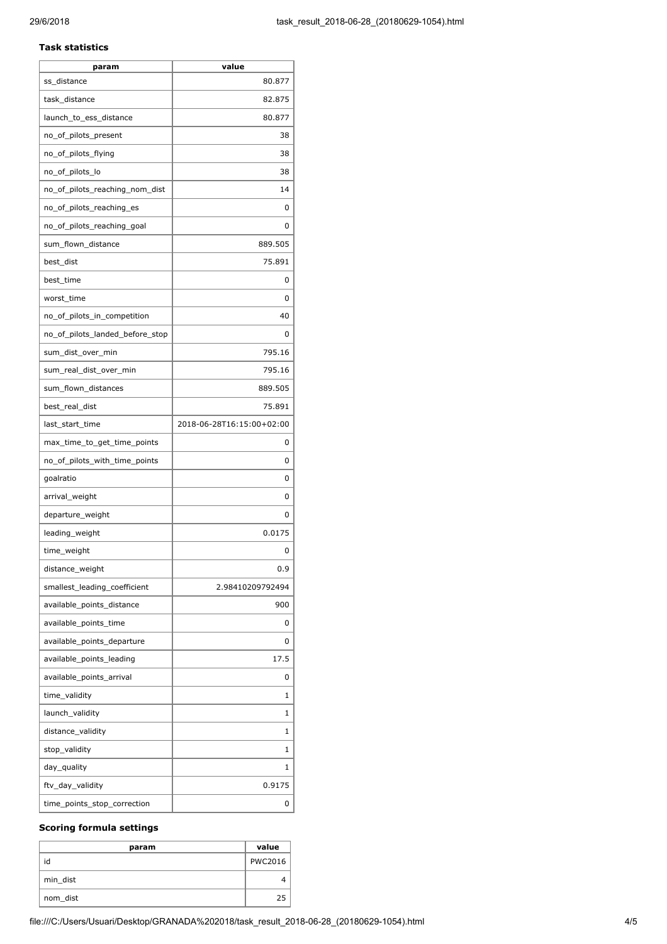#### **Task statistics**

| param                           | value                     |
|---------------------------------|---------------------------|
| ss_distance                     | 80.877                    |
| task_distance                   | 82.875                    |
| launch_to_ess_distance          | 80.877                    |
| no_of_pilots_present            | 38                        |
| no_of_pilots_flying             | 38                        |
| no_of_pilots_lo                 | 38                        |
| no_of_pilots_reaching_nom_dist  | 14                        |
| no_of_pilots_reaching_es        | 0                         |
| no_of_pilots_reaching_goal      | 0                         |
| sum_flown_distance              | 889.505                   |
| best_dist                       | 75.891                    |
| best_time                       | 0                         |
| worst time                      | 0                         |
| no_of_pilots_in_competition     | 40                        |
| no of pilots landed before stop | 0                         |
| sum_dist_over_min               | 795.16                    |
| sum_real_dist_over_min          | 795.16                    |
| sum_flown_distances             | 889.505                   |
| best_real_dist                  | 75.891                    |
| last_start_time                 | 2018-06-28T16:15:00+02:00 |
| max_time_to_get_time_points     | 0                         |
| no_of_pilots_with_time_points   | 0                         |
| goalratio                       | 0                         |
| arrival_weight                  | 0                         |
| departure_weight                | 0                         |
| leading_weight                  | 0.0175                    |
| time_weight                     | 0                         |
| distance_weight                 | 0.9                       |
| smallest_leading_coefficient    | 2.98410209792494          |
| available_points_distance       | 900                       |
| available_points_time           | 0                         |
| available_points_departure      | 0                         |
| available_points_leading        | 17.5                      |
| available_points_arrival        | 0                         |
| time_validity                   | 1                         |
| launch_validity                 | 1                         |
| distance_validity               | 1                         |
| stop_validity                   | 1                         |
| day_quality                     | 1                         |
| ftv_day_validity                | 0.9175                    |
| time_points_stop_correction     | 0                         |

## **Scoring formula settings**

| param    | value          |
|----------|----------------|
| id       | <b>PWC2016</b> |
| min_dist |                |
| nom_dist | 25             |